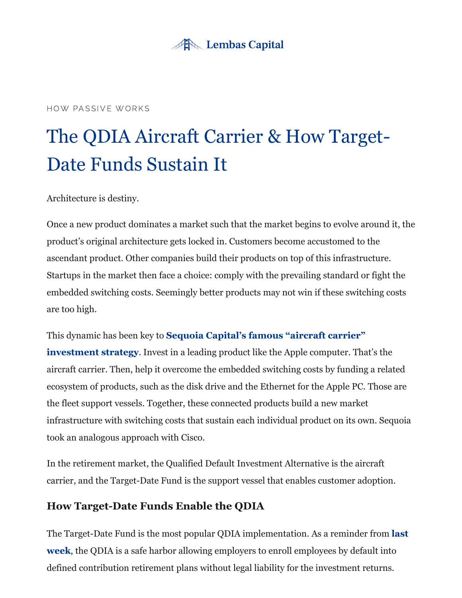

#### HOW PASSIVE WORKS

# The QDIA Aircraft Carrier & How Target-Date Funds Sustain It

Architecture is destiny.

Once a new product dominates a market such that the market begins to evolve around it, the product's original architecture gets locked in. Customers become accustomed to the ascendant product. Other companies build their products on top of this infrastructure. Startups in the market then face a choice: comply with the prevailing standard or fight the embedded switching costs. Seemingly better products may not win if these switching costs are too high.

This dynamic has been key to **Sequoia Capital's famous "aircraft carrier"**

**investment strategy**[. Invest in a leading product like the Apple computer. Tha](http://www.somethingventuredthemovie.com/)t's the aircraft carrier. Then, help it overcome the embedded switching costs by funding a related ecosystem of products, such as the disk drive and the Ethernet for the Apple PC. Those are the fleet support vessels. Together, these connected products build a new market infrastructure with switching costs that sustain each individual product on its own. Sequoia took an analogous approach with Cisco.

In the retirement market, the Qualified Default Investment Alternative is the aircraft carrier, and the Target-Date Fund is the support vessel that enables customer adoption.

## **How Target-Date Funds Enable the QDIA**

[The Target-Date Fund is the most popular QDIA implementation. As a reminder from](https://lembascapital.com/library/how-us-retirement-savings-defaulted-to-passive-investing/) **last week**, the QDIA is a safe harbor allowing employers to enroll employees by default into defined contribution retirement plans without legal liability for the investment returns.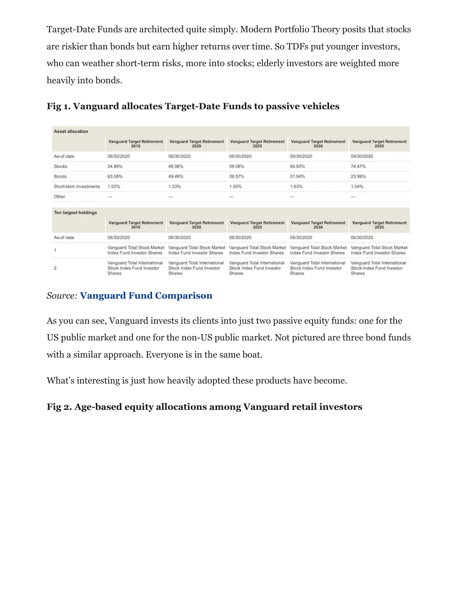Target-Date Funds are architected quite simply. Modern Portfolio Theory posits that stocks are riskier than bonds but earn higher returns over time. So TDFs put younger investors, who can weather short-term risks, more into stocks; elderly investors are weighted more heavily into bonds.

| <b>Asset allocation</b> |                                                                            |                                                                     |                                                                     |                                                                     |                                                                     |
|-------------------------|----------------------------------------------------------------------------|---------------------------------------------------------------------|---------------------------------------------------------------------|---------------------------------------------------------------------|---------------------------------------------------------------------|
|                         | Vanguard Target Retirement<br>2015                                         | Vanguard Target Retirement<br>2020                                  | Vanguard Target Retirement<br>2025                                  | Vanguard Target Retirement<br>2030                                  | Vanguard Target Retirement<br>2035                                  |
| As-of date              | 06/30/2020                                                                 | 06/30/2020                                                          | 06/30/2020                                                          | 06/30/2020                                                          | 06/30/2020                                                          |
| <b>Stocks</b>           | 34.89%                                                                     | 48.98%                                                              | 59.08%                                                              | 66.83%                                                              | 74.47%                                                              |
| <b>Bonds</b>            | 63.58%                                                                     | 49.49%                                                              | 39.37%                                                              | 31.54%                                                              | 23.99%                                                              |
| Short-term investments  | 1.53%                                                                      | 1.53%                                                               | 1.55%                                                               | 1.63%                                                               | 1.54%                                                               |
| Other                   | $\frac{1}{2}$                                                              | $\overline{\phantom{a}}$                                            | $\overline{\phantom{a}}$                                            | $\overline{\phantom{a}}$                                            | $\overline{\phantom{a}}$                                            |
| Ten largest holdings    |                                                                            |                                                                     |                                                                     |                                                                     |                                                                     |
|                         | Vanguard Target Retirement<br>2015                                         | Vanguard Target Retirement<br>2020                                  | <b>Vanguard Target Retirement</b><br>2025                           | Vanguard Target Retirement<br>2030                                  | Vanguard Target Retirement<br>2035                                  |
| As-of date              | 06/30/2020                                                                 | 06/30/2020                                                          | 06/30/2020                                                          | 06/30/2020                                                          | 06/30/2020                                                          |
|                         | Vanguard Total Stock Market<br>Index Fund Investor Shares                  | Vanguard Total Stock Market<br>Index Fund Investor Shares           | Vanguard Total Stock Market<br>Index Fund Investor Shares           | Vanguard Total Stock Market<br>Index Fund Investor Shares           | Vanguard Total Stock Market<br>Index Fund Investor Shares           |
| $\overline{2}$          | Vanguard Total International<br>Stock Index Fund Investor<br><b>Shares</b> | Vanguard Total International<br>Stock Index Fund Investor<br>Shares | Vanguard Total International<br>Stock Index Fund Investor<br>Shares | Vanguard Total International<br>Stock Index Fund Investor<br>Shares | Vanguard Total International<br>Stock Index Fund Investor<br>Shares |

## **Fig 1. Vanguard allocates Target-Date Funds to passive vehicles**

## *Source:* **[Vanguard Fund Comparison](https://investor.vanguard.com/mutual-funds/list#/mutual-funds/asset-class/month-end-returns)**

As you can see, Vanguard invests its clients into just two passive equity funds: one for the US public market and one for the non-US public market. Not pictured are three bond funds with a similar approach. Everyone is in the same boat.

What's interesting is just how heavily adopted these products have become.

## **Fig 2. Age-based equity allocations among Vanguard retail investors**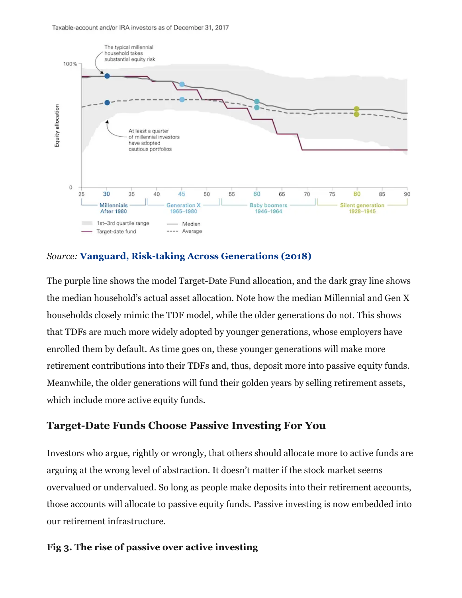

#### *Source:* **[Vanguard, Risk-taking Across Generations \(2018\)](https://pressroom.vanguard.com/nonindexed/Research-Risk-taking-across-generations-072418.pdf)**

The purple line shows the model Target-Date Fund allocation, and the dark gray line shows the median household's actual asset allocation. Note how the median Millennial and Gen X households closely mimic the TDF model, while the older generations do not. This shows that TDFs are much more widely adopted by younger generations, whose employers have enrolled them by default. As time goes on, these younger generations will make more retirement contributions into their TDFs and, thus, deposit more into passive equity funds. Meanwhile, the older generations will fund their golden years by selling retirement assets, which include more active equity funds.

## **Target-Date Funds Choose Passive Investing For You**

Investors who argue, rightly or wrongly, that others should allocate more to active funds are arguing at the wrong level of abstraction. It doesn't matter if the stock market seems overvalued or undervalued. So long as people make deposits into their retirement accounts, those accounts will allocate to passive equity funds. Passive investing is now embedded into our retirement infrastructure.

#### **Fig 3. The rise of passive over active investing**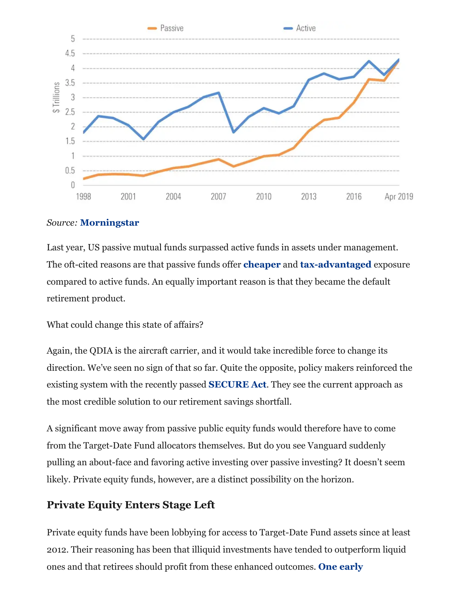

#### *Source:* **[Morningstar](https://www.morningstar.com/insights/2019/06/12/asset-parity)**

Last year, US passive mutual funds surpassed active funds in assets under management. The oft-cited reasons are that passive funds offer **[cheaper](https://www.bloomberg.com/opinion/articles/2019-10-01/passive-investing-vs-active-investing-which-is-bigger?sref=gjDMrCPN)** and **[tax-advantaged](https://papers.ssrn.com/sol3/papers.cfm?abstract_id=3070717)** exposure compared to active funds. An equally important reason is that they became the default retirement product.

What could change this state of affairs?

Again, the QDIA is the aircraft carrier, and it would take incredible force to change its direction. We've seen no sign of that so far. Quite the opposite, policy makers reinforced the existing system with the recently passed **[SECURE Act](https://en.wikipedia.org/wiki/SECURE_Act_of_2019)**. They see the current approach as the most credible solution to our retirement savings shortfall.

A significant move away from passive public equity funds would therefore have to come from the Target-Date Fund allocators themselves. But do you see Vanguard suddenly pulling an about-face and favoring active investing over passive investing? It doesn't seem likely. Private equity funds, however, are a distinct possibility on the horizon.

### **Private Equity Enters Stage Left**

Private equity funds have been lobbying for access to Target-Date Fund assets since at least 2012. Their reasoning has been that illiquid investments have tended to outperform liquid [ones and that retirees should profit from these enhanced outcomes.](https://www.economicpolicyresearch.org/images/Retirement_Project/Retirement_Security_Guaranteed_digital.pdf) **One early**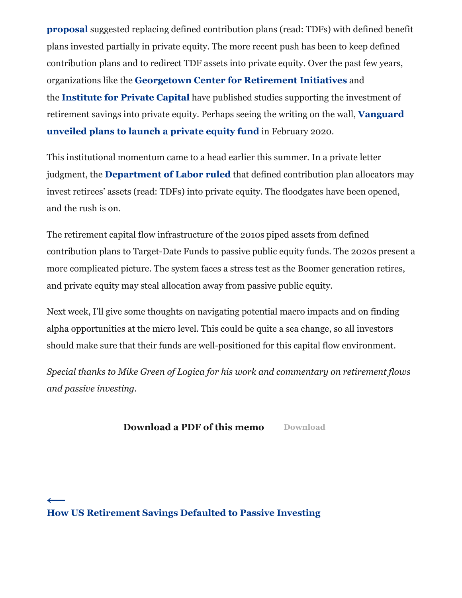**proposal** [suggested replacing defined contribution plans \(read: TDFs\) with def](https://www.economicpolicyresearch.org/images/Retirement_Project/Retirement_Security_Guaranteed_digital.pdf)ined benefit plans invested partially in private equity. The more recent push has been to keep defined contribution plans and to redirect TDF assets into private equity. Over the past few years, organizations like the **[Georgetown Center for Retirement Initiatives](https://cri.georgetown.edu/research/)** and the **[Institute for Private Capital](http://uncipc.org/index.php/research/)** have published studies supporting the investment of [retirement savings into private equity. Perhaps seeing the writing on the wall,](https://www.wsj.com/articles/vanguard-broadens-reach-with-entry-into-private-equity-11580909400) **Vanguard unveiled plans to launch a private equity fund** in February 2020.

This institutional momentum came to a head earlier this summer. In a private letter judgment, the **[Department of Labor ruled](https://www.dol.gov/agencies/ebsa/about-ebsa/our-activities/resource-center/information-letters/06-03-2020)** that defined contribution plan allocators may invest retirees' assets (read: TDFs) into private equity. The floodgates have been opened, and the rush is on.

The retirement capital flow infrastructure of the 2010s piped assets from defined contribution plans to Target-Date Funds to passive public equity funds. The 2020s present a more complicated picture. The system faces a stress test as the Boomer generation retires, and private equity may steal allocation away from passive public equity.

Next week, I'll give some thoughts on navigating potential macro impacts and on finding alpha opportunities at the micro level. This could be quite a sea change, so all investors should make sure that their funds are well-positioned for this capital flow environment.

*Special thanks to Mike Green of Logica for his work and commentary on retirement flows and passive investing.*

**[Download a PDF of this memo](https://lembascapital.com/library/wp-content/uploads/2020/08/Lembas-Capital-How-US-Retirement-Savings-Defaulted-to-Passive-Investing.pdf)** [Download](https://lembascapital.com/library/wp-content/uploads/2020/08/Lembas-Capital-How-US-Retirement-Savings-Defaulted-to-Passive-Investing.pdf)

 $\leftarrow$